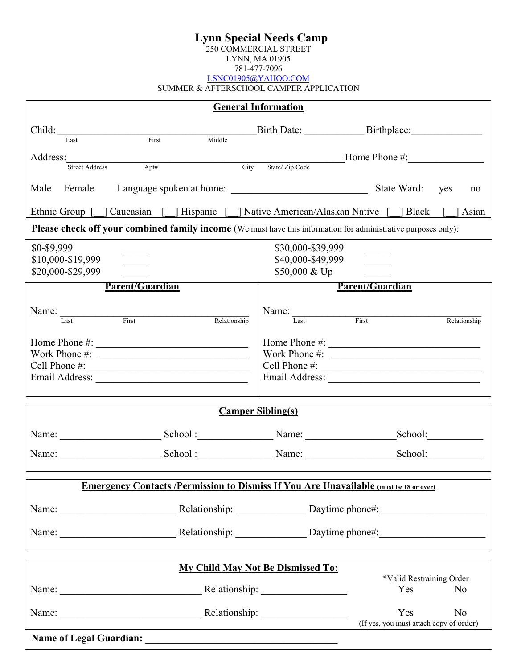# **Lynn Special Needs Camp**

250 COMMERCIAL STREET

LYNN, MA 01905

781-477-7096

LSNC01905@YAHOO.COM

SUMMER & AFTERSCHOOL CAMPER APPLICATION

|                                |                                                                                                                                                                                                                                                                                                                    |                                         | <b>General Information</b>                                 |                                                                                                                |
|--------------------------------|--------------------------------------------------------------------------------------------------------------------------------------------------------------------------------------------------------------------------------------------------------------------------------------------------------------------|-----------------------------------------|------------------------------------------------------------|----------------------------------------------------------------------------------------------------------------|
|                                | Child: <u>Fact First</u>                                                                                                                                                                                                                                                                                           | <u> 1999 - Jan Barnett, f</u><br>Middle |                                                            |                                                                                                                |
| Address: Street Address        | Apt#                                                                                                                                                                                                                                                                                                               |                                         |                                                            | Example 2 Triverse City State/Zip Code Home Phone #:                                                           |
|                                |                                                                                                                                                                                                                                                                                                                    |                                         |                                                            |                                                                                                                |
|                                |                                                                                                                                                                                                                                                                                                                    |                                         |                                                            | no                                                                                                             |
|                                |                                                                                                                                                                                                                                                                                                                    |                                         |                                                            | Ethnic Group [ ] Caucasian [ ] Hispanic [ ] Native American/Alaskan Native [ ] Black [ ] Asian                 |
|                                |                                                                                                                                                                                                                                                                                                                    |                                         |                                                            | Please check off your combined family income (We must have this information for administrative purposes only): |
| \$0-\$9,999                    |                                                                                                                                                                                                                                                                                                                    |                                         | \$30,000-\$39,999                                          |                                                                                                                |
| \$10,000-\$19,999              |                                                                                                                                                                                                                                                                                                                    |                                         | \$40,000-\$49,999                                          |                                                                                                                |
| \$20,000-\$29,999              |                                                                                                                                                                                                                                                                                                                    |                                         | \$50,000 & Up                                              |                                                                                                                |
|                                | <b>Parent/Guardian</b>                                                                                                                                                                                                                                                                                             |                                         |                                                            | Parent/Guardian                                                                                                |
|                                |                                                                                                                                                                                                                                                                                                                    |                                         |                                                            |                                                                                                                |
|                                | Name: $\frac{1}{1.85}$ First                                                                                                                                                                                                                                                                                       | Relationship                            |                                                            | Name: Last First<br>$\overline{\text{Relationship}}$                                                           |
|                                | Home Phone #: $\frac{1}{2}$ $\frac{1}{2}$ $\frac{1}{2}$ $\frac{1}{2}$ $\frac{1}{2}$ $\frac{1}{2}$ $\frac{1}{2}$ $\frac{1}{2}$ $\frac{1}{2}$ $\frac{1}{2}$ $\frac{1}{2}$ $\frac{1}{2}$ $\frac{1}{2}$ $\frac{1}{2}$ $\frac{1}{2}$ $\frac{1}{2}$ $\frac{1}{2}$ $\frac{1}{2}$ $\frac{1}{2}$ $\frac{1}{2}$ $\frac{1}{2$ |                                         |                                                            | Home Phone #:                                                                                                  |
|                                | Work Phone #: $\qquad \qquad$                                                                                                                                                                                                                                                                                      |                                         |                                                            | Work Phone $\#$ :                                                                                              |
|                                |                                                                                                                                                                                                                                                                                                                    |                                         |                                                            | Cell Phone $\#$ :                                                                                              |
|                                |                                                                                                                                                                                                                                                                                                                    |                                         |                                                            |                                                                                                                |
|                                |                                                                                                                                                                                                                                                                                                                    |                                         | <b>Camper Sibling(s)</b>                                   |                                                                                                                |
|                                | Name: Name: Name: Name: Name: Name: Name: Name: Name: Name: Name: Name: Name: Name: Name: Name: Name: Name: Name: Name: Name: Name: Name: Name: Name: Name: Name: Name: Name: Name: Name: Name: Name: Name: Name: Name: Name:                                                                                      |                                         |                                                            | School:                                                                                                        |
|                                | Name: Name: Name: Name: Name: Name: Name: Name: Name: Name: Name: Name: Name: Name: Name: Name: Name: Name: Name: Name: Name: Name: Name: Name: Name: Name: Name: Name: Name: Name: Name: Name: Name: Name: Name: Name: Name:                                                                                      |                                         |                                                            | School:                                                                                                        |
|                                |                                                                                                                                                                                                                                                                                                                    |                                         |                                                            | <b>Emergency Contacts /Permission to Dismiss If You Are Unavailable (must be 18 or over)</b>                   |
|                                |                                                                                                                                                                                                                                                                                                                    |                                         |                                                            |                                                                                                                |
|                                |                                                                                                                                                                                                                                                                                                                    |                                         |                                                            |                                                                                                                |
|                                |                                                                                                                                                                                                                                                                                                                    |                                         |                                                            |                                                                                                                |
|                                |                                                                                                                                                                                                                                                                                                                    |                                         | <b>My Child May Not Be Dismissed To:</b>                   |                                                                                                                |
|                                |                                                                                                                                                                                                                                                                                                                    |                                         |                                                            | *Valid Restraining Order                                                                                       |
|                                |                                                                                                                                                                                                                                                                                                                    |                                         |                                                            | Yes<br>N <sub>o</sub>                                                                                          |
|                                |                                                                                                                                                                                                                                                                                                                    |                                         |                                                            | Yes<br>No                                                                                                      |
|                                |                                                                                                                                                                                                                                                                                                                    |                                         |                                                            | (If yes, you must attach copy of order)                                                                        |
| <b>Name of Legal Guardian:</b> |                                                                                                                                                                                                                                                                                                                    |                                         | <u> 1980 - John Stone, Amerikaansk politiker (</u> † 1920) |                                                                                                                |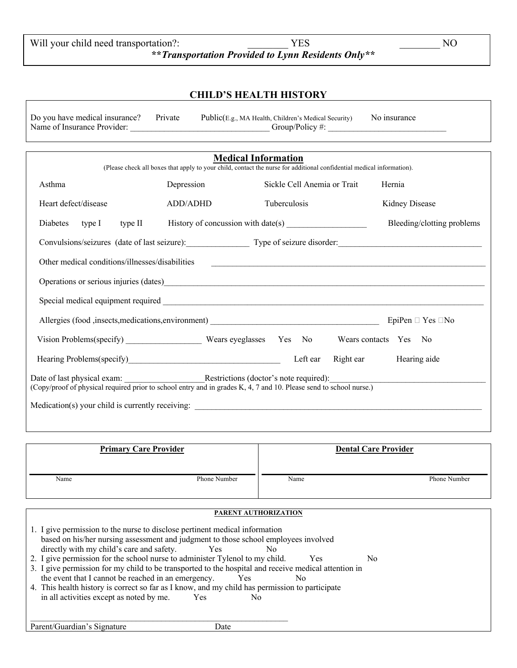| Will your child need transportation?: | YES                                                | NO |
|---------------------------------------|----------------------------------------------------|----|
|                                       | **Transportation Provided to Lynn Residents Only** |    |

# **CHILD'S HEALTH HISTORY**

| Do you have medical insurance? Private | Public(E.g., MA Health, Children's Medical Security) No insurance |  |
|----------------------------------------|-------------------------------------------------------------------|--|
| Name of Insurance Provider:            | Group/Policy #:                                                   |  |

|                                                                                                                                                                                                 |            | <b>Medical Information</b><br>(Please check all boxes that apply to your child, contact the nurse for additional confidential medical information). |                             |
|-------------------------------------------------------------------------------------------------------------------------------------------------------------------------------------------------|------------|-----------------------------------------------------------------------------------------------------------------------------------------------------|-----------------------------|
| Asthma                                                                                                                                                                                          | Depression | Sickle Cell Anemia or Trait                                                                                                                         | Hernia                      |
| Heart defect/disease                                                                                                                                                                            | ADD/ADHD   | <b>Tuberculosis</b>                                                                                                                                 | Kidney Disease              |
| type II<br>Diabetes<br>type I                                                                                                                                                                   |            | History of concussion with date(s) $\frac{1}{2}$                                                                                                    | Bleeding/clotting problems  |
| Convulsions/seizures (date of last seizure): Type of seizure disorder:                                                                                                                          |            |                                                                                                                                                     |                             |
| Other medical conditions/illnesses/disabilities                                                                                                                                                 |            |                                                                                                                                                     |                             |
|                                                                                                                                                                                                 |            |                                                                                                                                                     |                             |
|                                                                                                                                                                                                 |            |                                                                                                                                                     |                             |
| Allergies (food ,insects, medications, environment) _____________________________                                                                                                               |            |                                                                                                                                                     | EpiPen $\Box$ Yes $\Box$ No |
| Vision Problems(specify) Wears eyeglasses Yes No                                                                                                                                                |            |                                                                                                                                                     | Wears contacts Yes No       |
|                                                                                                                                                                                                 |            | Left ear                                                                                                                                            | Right ear Hearing aide      |
| Date of last physical exam: <u>Restrictions</u> (doctor's note required):<br>(Copy/proof of physical required prior to school entry and in grades K, 4, 7 and 10. Please send to school nurse.) |            |                                                                                                                                                     |                             |
|                                                                                                                                                                                                 |            |                                                                                                                                                     |                             |

|      | <b>Primary Care Provider</b> |      | <b>Dental Care Provider</b> |
|------|------------------------------|------|-----------------------------|
| Name | Phone Number                 | Name | Phone Number                |
|      | PARENT AUTHORIZATION         |      |                             |

| 1. I give permission to the nurse to disclose pertinent medical information                          |
|------------------------------------------------------------------------------------------------------|
| based on his/her nursing assessment and judgment to those school employees involved                  |
| directly with my child's care and safety.<br><b>Yes</b><br>No                                        |
| 2. I give permission for the school nurse to administer Tylenol to my child.<br><b>Yes</b><br>No.    |
| 3. I give permission for my child to be transported to the hospital and receive medical attention in |
| the event that I cannot be reached in an emergency.<br>Yes<br>No.                                    |
| 4. This health history is correct so far as I know, and my child has permission to participate       |
| in all activities except as noted by me.<br>Yes.<br>No                                               |
|                                                                                                      |
|                                                                                                      |
| Parent/Guardian's Signature<br>Date                                                                  |

Parent/Guardian's Signature Date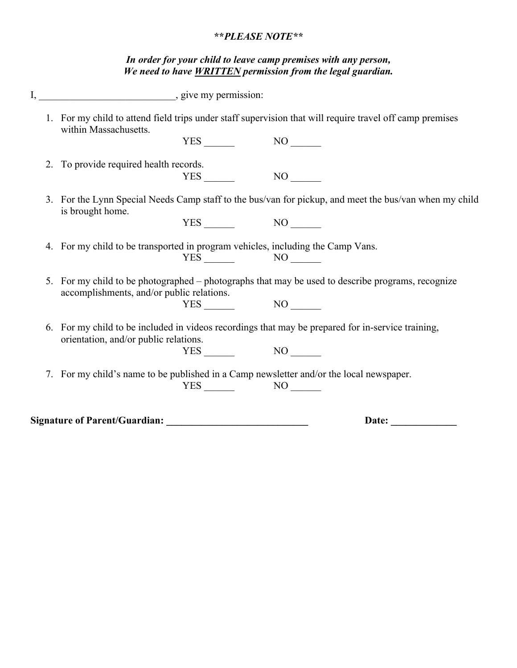### **\*\****PLEASE NOTE\*\**

#### *In order for your child to leave camp premises with any person, We need to have WRITTEN permission from the legal guardian.*

|    | 1. For my child to attend field trips under staff supervision that will require travel off camp premises<br>within Massachusetts.           |
|----|---------------------------------------------------------------------------------------------------------------------------------------------|
|    |                                                                                                                                             |
|    | 2. To provide required health records.                                                                                                      |
|    |                                                                                                                                             |
|    | 3. For the Lynn Special Needs Camp staff to the bus/van for pickup, and meet the bus/van when my child<br>is brought home.                  |
|    | $YES$ NO $\qquad$                                                                                                                           |
|    | 4. For my child to be transported in program vehicles, including the Camp Vans.<br>$YES$ NO $N$                                             |
| 5. | For my child to be photographed – photographs that may be used to describe programs, recognize<br>accomplishments, and/or public relations. |
|    | $YES$ NO $N$                                                                                                                                |
|    | 6. For my child to be included in videos recordings that may be prepared for in-service training,<br>orientation, and/or public relations.  |
|    | $YES$ NO $\qquad$                                                                                                                           |
|    | 7. For my child's name to be published in a Camp newsletter and/or the local newspaper.                                                     |
|    | $YES$ NO $N$                                                                                                                                |
|    | Date:                                                                                                                                       |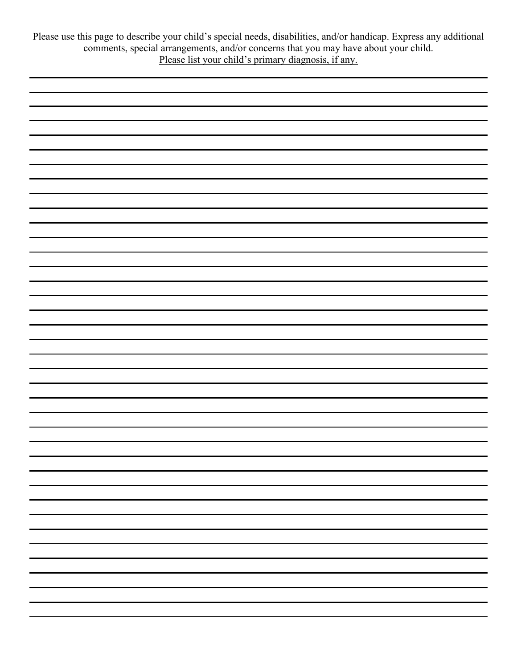Please use this page to describe your child's special needs, disabilities, and/or handicap. Express any additional comments, special arrangements, and/or concerns that you may have about your child. Please list your child's primary diagnosis, if any.

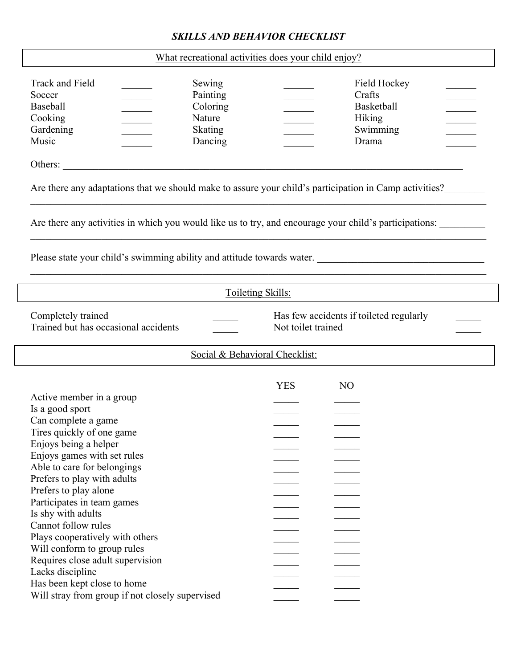# *SKILLS AND BEHAVIOR CHECKLIST*

|  | What recreational activities does your child enjoy? |  |  |  |
|--|-----------------------------------------------------|--|--|--|
|--|-----------------------------------------------------|--|--|--|

| Track and Field<br>Sewing<br>Soccer<br>Painting<br><b>Baseball</b><br>Coloring<br>Cooking<br>Nature<br>Gardening<br>Skating<br>Music<br>Dancing<br>Others:                                                       |                                | Field Hockey<br>Crafts<br><b>Basketball</b><br>Hiking<br>Swimming<br>Drama |  |
|------------------------------------------------------------------------------------------------------------------------------------------------------------------------------------------------------------------|--------------------------------|----------------------------------------------------------------------------|--|
| Are there any adaptations that we should make to assure your child's participation in Camp activities?<br>Are there any activities in which you would like us to try, and encourage your child's participations: |                                |                                                                            |  |
|                                                                                                                                                                                                                  |                                |                                                                            |  |
|                                                                                                                                                                                                                  | Toileting Skills:              |                                                                            |  |
| Completely trained<br>Trained but has occasional accidents                                                                                                                                                       | Not toilet trained             | Has few accidents if toileted regularly                                    |  |
|                                                                                                                                                                                                                  |                                |                                                                            |  |
|                                                                                                                                                                                                                  | Social & Behavioral Checklist: |                                                                            |  |
|                                                                                                                                                                                                                  |                                |                                                                            |  |
|                                                                                                                                                                                                                  | <b>YES</b>                     | N <sub>O</sub>                                                             |  |
| Active member in a group                                                                                                                                                                                         |                                |                                                                            |  |
| Is a good sport                                                                                                                                                                                                  |                                |                                                                            |  |
| Can complete a game                                                                                                                                                                                              |                                |                                                                            |  |
| Tires quickly of one game                                                                                                                                                                                        |                                |                                                                            |  |
| Enjoys being a helper                                                                                                                                                                                            |                                |                                                                            |  |
| Enjoys games with set rules                                                                                                                                                                                      |                                |                                                                            |  |
| Able to care for belongings                                                                                                                                                                                      |                                |                                                                            |  |
| Prefers to play with adults                                                                                                                                                                                      |                                |                                                                            |  |
| Prefers to play alone                                                                                                                                                                                            |                                |                                                                            |  |
| Participates in team games                                                                                                                                                                                       |                                |                                                                            |  |
| Is shy with adults                                                                                                                                                                                               |                                |                                                                            |  |
| Cannot follow rules                                                                                                                                                                                              |                                |                                                                            |  |
| Plays cooperatively with others                                                                                                                                                                                  |                                |                                                                            |  |
| Will conform to group rules                                                                                                                                                                                      |                                |                                                                            |  |
| Requires close adult supervision                                                                                                                                                                                 |                                |                                                                            |  |
| Lacks discipline<br>Has been kept close to home                                                                                                                                                                  |                                |                                                                            |  |